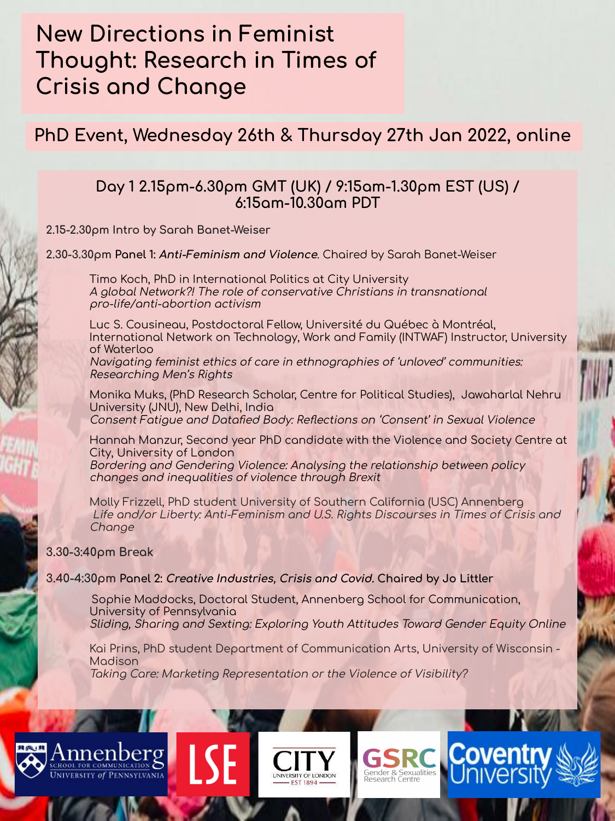# **New Directions in Feminist** Thought: Research in Times of **Crisis and Change**

PhD Event, Wednesday 26th & Thursday 27th Jan 2022, online

### Day 1 2.15pm-6.30pm GMT (UK) / 9:15am-1.30pm EST (US) / 6:15 am-10.30 am PDT

2.15-2.30pm Intro by Sarah Banet-Weiser

2.30-3.30pm Panel 1: Anti-Feminism and Violence. Chaired by Sarah Banet-Weiser

Timo Koch, PhD in International Politics at City University A global Network?! The role of conservative Christians in transnational pro-life/anti-abortion activism

Luc S. Cousineau, Postdoctoral Fellow, Université du Québec à Montréal, International Network on Technology, Work and Family (INTWAF) Instructor, University of Waterloo

Navigating feminist ethics of care in ethnographies of 'unloved' communities: Researching Men's Rights

Monika Muks, (PhD Research Scholar, Centre for Political Studies), Jawaharlal Nehru University (JNU), New Delhi, India Consent Fatigue and Datafied Body: Reflections on 'Consent' in Sexual Violence

Hannah Manzur, Second year PhD candidate with the Violence and Society Centre at City, University of London Bordering and Gendering Violence: Analysing the relationship between policy changes and inequalities of violence through Brexit

Molly Frizzell, PhD student University of Southern California (USC) Annenberg Life and/or Liberty: Anti-Feminism and U.S. Rights Discourses in Times of Crisis and Change

#### 3.30-3:40pm Break

nnenberø

**JNIVERSITY of PENNSYLVANIA** 

#### 3.40-4:30pm Panel 2: *Creative Industries, Crisis and Covid.* Chaired by Jo Littler

Sophie Maddocks, Doctoral Student, Annenberg School for Communication, University of Pennsylvania Sliding, Sharing and Sexting: Exploring Youth Attitudes Toward Gender Equity Online

Kai Prins, PhD student Department of Communication Arts, University of Wisconsin -Madison

Cove

Gender & Sexualities

Taking Care: Marketing Representation or the Violence of Visibility?



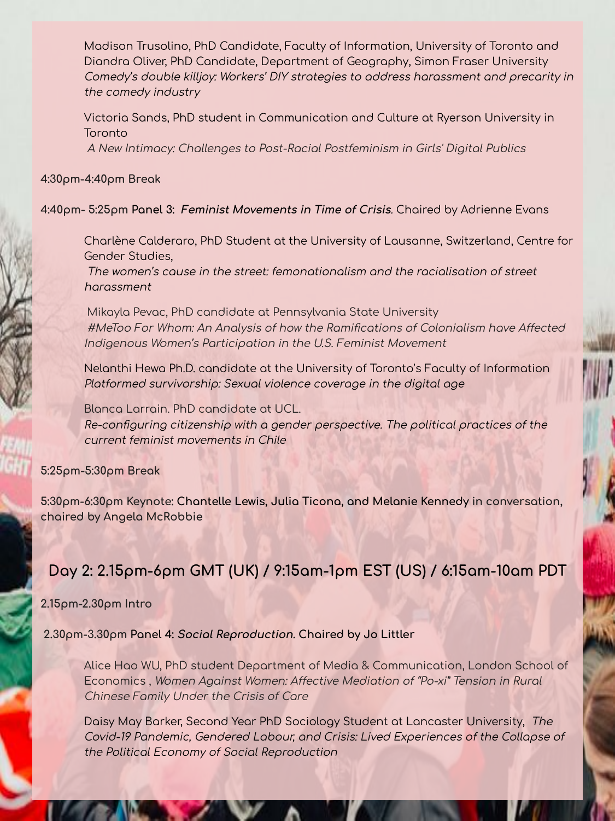Modison Trusolino, PhD Condidate, Foculty of Information, University of Toronto and Diandra Oliver, PhD Candidate, Department of Geography, Simon Fraser University Comedy's double killioy; Workers' DIY strategies to address harassment and precarity in the comedy industry

Victoria Sands, PhD student in Communication and Culture at Ryerson University in Toronto

A New Intimacy: Challenges to Post-Racial Postfeminism in Girls' Digital Publics

#### 4:30pm-4:40pm Break

#### 4:40pm- 5:25pm Panel 3: Feminist Movements in Time of Crisis. Chaired by Adrienne Evans

Charlène Calderaro, PhD Student at the University of Lausanne, Switzerland, Centre for Gender Studies.

The women's couse in the street: femonotionalism and the racialisation of street harassment

Mikayla Pevac, PhD candidate at Pennsylvania State University #MeToo For Whom: An Analysis of how the Ramifications of Colonialism have Affected Indigenous Women's Participation in the U.S. Feminist Movement

Nelanthi Hewa Ph.D. candidate at the University of Toronto's Faculty of Information Platformed survivorship: Sexual violence coverage in the digital age

Blanca Larrain. PhD candidate at UCL.

Re-configuring citizenship with a gender perspective. The political practices of the current feminist movements in Chile

#### 5:25pm-5:30pm Break

5:30pm-6:30pm Keynote: Chantelle Lewis, Julia Ticona, and Melanie Kennedy in conversation, chaired by Angela McRobbie

## Day 2: 2.15pm-6pm GMT (UK) / 9:15am-1pm EST (US) / 6:15am-10am PDT

#### $2.15$  $\rho$ m- $2.30$  $\rho$ m Intro

2.30pm-3.30pm Panel 4: Social Reproduction. Chaired by Jo Littler

Alice Hao WU, PhD student Department of Media & Communication, London School of Economics, Women Against Women: Affective Mediation of "Po-xi" Tension in Rural Chinese Family Under the Crisis of Care

Daisy May Barker, Second Year PhD Sociology Student at Lancaster University, The Covid-19 Pandemic, Gendered Labour, and Crisis: Lived Experiences of the Collapse of the Political Economy of Social Reproduction